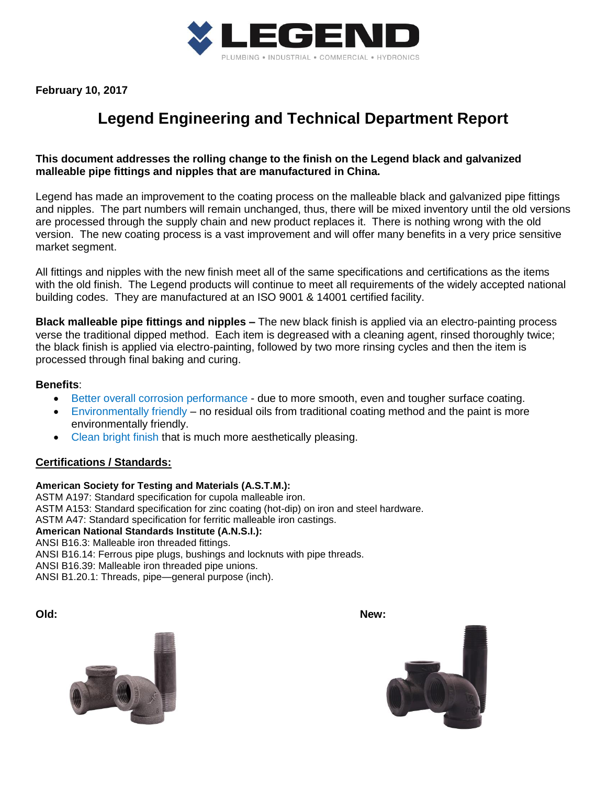

**February 10, 2017**

# **Legend Engineering and Technical Department Report**

## **This document addresses the rolling change to the finish on the Legend black and galvanized malleable pipe fittings and nipples that are manufactured in China.**

Legend has made an improvement to the coating process on the malleable black and galvanized pipe fittings and nipples. The part numbers will remain unchanged, thus, there will be mixed inventory until the old versions are processed through the supply chain and new product replaces it. There is nothing wrong with the old version. The new coating process is a vast improvement and will offer many benefits in a very price sensitive market segment.

All fittings and nipples with the new finish meet all of the same specifications and certifications as the items with the old finish. The Legend products will continue to meet all requirements of the widely accepted national building codes. They are manufactured at an ISO 9001 & 14001 certified facility.

**Black malleable pipe fittings and nipples –** The new black finish is applied via an electro-painting process verse the traditional dipped method. Each item is degreased with a cleaning agent, rinsed thoroughly twice; the black finish is applied via electro-painting, followed by two more rinsing cycles and then the item is processed through final baking and curing.

## **Benefits**:

- Better overall corrosion performance due to more smooth, even and tougher surface coating.
- Environmentally friendly no residual oils from traditional coating method and the paint is more environmentally friendly.
- Clean bright finish that is much more aesthetically pleasing.

## **Certifications / Standards:**

#### **American Society for Testing and Materials (A.S.T.M.):**

ASTM A197: Standard specification for cupola malleable iron. ASTM A153: Standard specification for zinc coating (hot-dip) on iron and steel hardware. ASTM A47: Standard specification for ferritic malleable iron castings. **American National Standards Institute (A.N.S.I.):** ANSI B16.3: Malleable iron threaded fittings. ANSI B16.14: Ferrous pipe plugs, bushings and locknuts with pipe threads. ANSI B16.39: Malleable iron threaded pipe unions. ANSI B1.20.1: Threads, pipe—general purpose (inch).

**Old: New:**